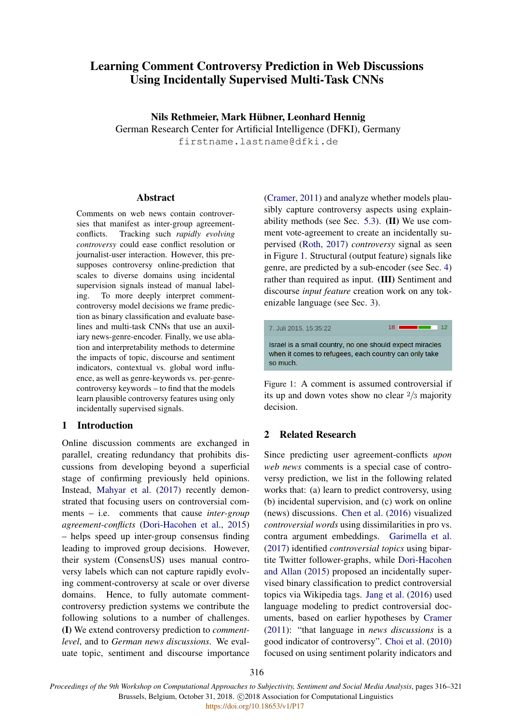# Learning Comment Controversy Prediction in Web Discussions Using Incidentally Supervised Multi-Task CNNs

Nils Rethmeier, Mark Hubner, Leonhard Hennig ¨

German Research Center for Artificial Intelligence (DFKI), Germany firstname.lastname@dfki.de

## Abstract

Comments on web news contain controversies that manifest as inter-group agreementconflicts. Tracking such *rapidly evolving controversy* could ease conflict resolution or journalist-user interaction. However, this presupposes controversy online-prediction that scales to diverse domains using incidental supervision signals instead of manual labeling. To more deeply interpret commentcontroversy model decisions we frame prediction as binary classification and evaluate baselines and multi-task CNNs that use an auxiliary news-genre-encoder. Finally, we use ablation and interpretability methods to determine the impacts of topic, discourse and sentiment indicators, contextual vs. global word influence, as well as genre-keywords vs. per-genrecontroversy keywords – to find that the models learn plausible controversy features using only incidentally supervised signals.

## 1 Introduction

Online discussion comments are exchanged in parallel, creating redundancy that prohibits discussions from developing beyond a superficial stage of confirming previously held opinions. Instead, [Mahyar et al.](#page-5-0) [\(2017\)](#page-5-0) recently demonstrated that focusing users on controversial comments – i.e. comments that cause *inter-group agreement-conflicts* [\(Dori-Hacohen et al.,](#page-5-1) [2015\)](#page-5-1) – helps speed up inter-group consensus finding leading to improved group decisions. However, their system (ConsensUS) uses manual controversy labels which can not capture rapidly evolving comment-controversy at scale or over diverse domains. Hence, to fully automate commentcontroversy prediction systems we contribute the following solutions to a number of challenges. (I) We extend controversy prediction to *commentlevel*, and to *German news discussions*. We evaluate topic, sentiment and discourse importance

[\(Cramer,](#page-5-2) [2011\)](#page-5-2) and analyze whether models plausibly capture controversy aspects using explainability methods (see Sec. [5.3\)](#page-3-0). (II) We use comment vote-agreement to create an incidentally supervised [\(Roth,](#page-5-3) [2017\)](#page-5-3) *controversy* signal as seen in Figure [1.](#page-0-0) Structural (output feature) signals like genre, are predicted by a sub-encoder (see Sec. [4\)](#page-1-0) rather than required as input. (III) Sentiment and discourse *input feature* creation work on any tokenizable language (see Sec. [3\)](#page-1-1).

<span id="page-0-0"></span>

Figure 1: A comment is assumed controversial if its up and down votes show no clear 2/3 majority decision.

# 2 Related Research

Since predicting user agreement-conflicts *upon web news* comments is a special case of controversy prediction, we list in the following related works that: (a) learn to predict controversy, using (b) incidental supervision, and (c) work on online (news) discussions. [Chen et al.](#page-5-4) [\(2016\)](#page-5-4) visualized *controversial words* using dissimilarities in pro vs. contra argument embeddings. [Garimella et al.](#page-5-5) [\(2017\)](#page-5-5) identified *controversial topics* using bipartite Twitter follower-graphs, while [Dori-Hacohen](#page-5-6) [and Allan](#page-5-6) [\(2015\)](#page-5-6) proposed an incidentally supervised binary classification to predict controversial topics via Wikipedia tags. [Jang et al.](#page-5-7) [\(2016\)](#page-5-7) used language modeling to predict controversial documents, based on earlier hypotheses by [Cramer](#page-5-2) [\(2011\)](#page-5-2): "that language in *news discussions* is a good indicator of controversy". [Choi et al.](#page-5-8) [\(2010\)](#page-5-8) focused on using sentiment polarity indicators and

*Proceedings of the 9th Workshop on Computational Approaches to Subjectivity, Sentiment and Social Media Analysis*, pages 316–321 Brussels, Belgium, October 31, 2018. C 2018 Association for Computational Linguistics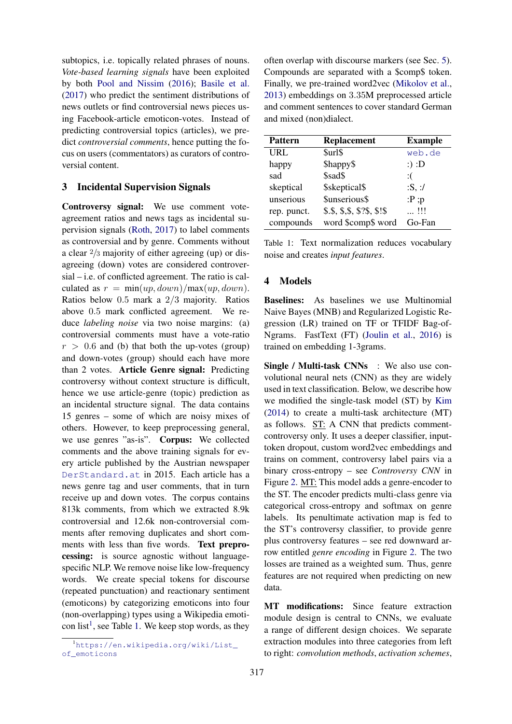subtopics, i.e. topically related phrases of nouns. *Vote-based learning signals* have been exploited by both [Pool and Nissim](#page-5-9) [\(2016\)](#page-5-9); [Basile et al.](#page-5-10) [\(2017\)](#page-5-10) who predict the sentiment distributions of news outlets or find controversial news pieces using Facebook-article emoticon-votes. Instead of predicting controversial topics (articles), we predict *controversial comments*, hence putting the focus on users (commentators) as curators of controversial content.

# <span id="page-1-1"></span>3 Incidental Supervision Signals

Controversy signal: We use comment voteagreement ratios and news tags as incidental supervision signals [\(Roth,](#page-5-3) [2017\)](#page-5-3) to label comments as controversial and by genre. Comments without a clear 2/3 majority of either agreeing (up) or disagreeing (down) votes are considered controversial – i.e. of conflicted agreement. The ratio is calculated as  $r = \min(up, down)/\max(up, down)$ . Ratios below 0.5 mark a 2/3 majority. Ratios above 0.5 mark conflicted agreement. We reduce *labeling noise* via two noise margins: (a) controversial comments must have a vote-ratio  $r > 0.6$  and (b) that both the up-votes (group) and down-votes (group) should each have more than 2 votes. Article Genre signal: Predicting controversy without context structure is difficult, hence we use article-genre (topic) prediction as an incidental structure signal. The data contains 15 genres – some of which are noisy mixes of others. However, to keep preprocessing general, we use genres "as-is". Corpus: We collected comments and the above training signals for every article published by the Austrian newspaper <DerStandard.at> in 2015. Each article has a news genre tag and user comments, that in turn receive up and down votes. The corpus contains 813k comments, from which we extracted 8.9k controversial and 12.6k non-controversial comments after removing duplicates and short comments with less than five words. Text preprocessing: is source agnostic without languagespecific NLP. We remove noise like low-frequency words. We create special tokens for discourse (repeated punctuation) and reactionary sentiment (emoticons) by categorizing emoticons into four (non-overlapping) types using a Wikipedia emoti-con list<sup>[1](#page-1-2)</sup>, see Table [1.](#page-1-3) We keep stop words, as they

often overlap with discourse markers (see Sec. [5\)](#page-2-0). Compounds are separated with a \$comp\$ token. Finally, we pre-trained word2vec [\(Mikolov et al.,](#page-5-11) [2013\)](#page-5-11) embeddings on 3.35M preprocessed article and comment sentences to cover standard German and mixed (non)dialect.

<span id="page-1-3"></span>

| <b>Pattern</b> | <b>Replacement</b>        | <b>Example</b> |
|----------------|---------------------------|----------------|
| <b>URL</b>     | \$url\$                   | web.de         |
| happy          | \$happy\$                 | $:):$ $D$      |
| sad            | \$sad\$                   | :(             |
| skeptical      | \$skeptical\$             | :S, :/         |
| unserious      | \$unserious\$             | :P ; p         |
| rep. punct.    | \$.5, \$.5, \$.325, \$.15 | !!!            |
| compounds      | word \$comp\$ word        | Go-Fan         |

Table 1: Text normalization reduces vocabulary noise and creates *input features*.

# <span id="page-1-0"></span>4 Models

Baselines: As baselines we use Multinomial Naive Bayes (MNB) and Regularized Logistic Regression (LR) trained on TF or TFIDF Bag-of-Ngrams. FastText (FT) [\(Joulin et al.,](#page-5-12) [2016\)](#page-5-12) is trained on embedding 1-3grams.

Single / Multi-task CNNs : We also use convolutional neural nets (CNN) as they are widely used in text classification. Below, we describe how we modified the single-task model (ST) by [Kim](#page-5-13) [\(2014\)](#page-5-13) to create a multi-task architecture (MT) as follows. ST: A CNN that predicts commentcontroversy only. It uses a deeper classifier, inputtoken dropout, custom word2vec embeddings and trains on comment, controversy label pairs via a binary cross-entropy – see *Controversy CNN* in Figure [2.](#page-2-1) MT: This model adds a genre-encoder to the ST. The encoder predicts multi-class genre via categorical cross-entropy and softmax on genre labels. Its penultimate activation map is fed to the ST's controversy classifier, to provide genre plus controversy features – see red downward arrow entitled *genre encoding* in Figure [2.](#page-2-1) The two losses are trained as a weighted sum. Thus, genre features are not required when predicting on new data.

MT modifications: Since feature extraction module design is central to CNNs, we evaluate a range of different design choices. We separate extraction modules into three categories from left to right: *convolution methods*, *activation schemes*,

<span id="page-1-2"></span><sup>&</sup>lt;sup>1</sup>[https://en.wikipedia.org/wiki/List\\_](https://en.wikipedia.org/wiki/List_of_emoticons) [of\\_emoticons](https://en.wikipedia.org/wiki/List_of_emoticons)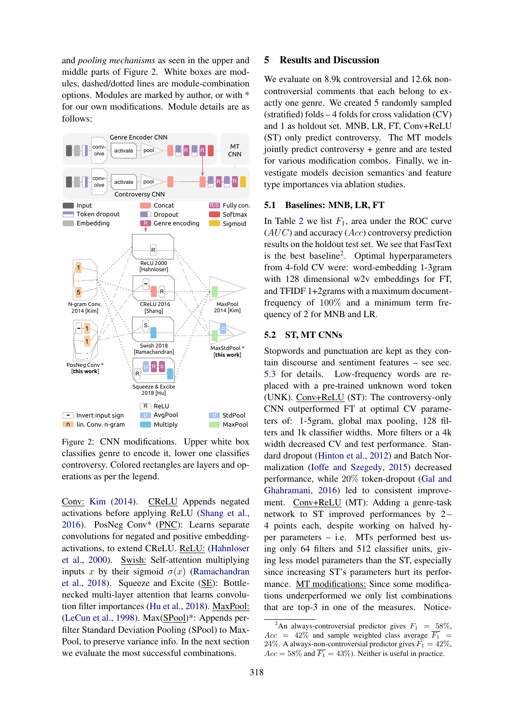and *pooling mechanisms* as seen in the upper and middle parts of Figure [2.](#page-2-1) White boxes are modules, dashed/dotted lines are module-combination options. Modules are marked by author, or with \* for our own modifications. Module details are as follows:

<span id="page-2-1"></span>

Figure 2: CNN modifications. Upper white box classifies genre to encode it, lower one classifies controversy. Colored rectangles are layers and operations as per the legend.

Conv: [Kim](#page-5-13) [\(2014\)](#page-5-13). CReLU Appends negated activations before applying ReLU [\(Shang et al.,](#page-5-14) [2016\)](#page-5-14). PosNeg Conv\* (PNC): Learns separate convolutions for negated and positive embeddingactivations, to extend CReLU. ReLU: [\(Hahnloser](#page-5-15) [et al.,](#page-5-15) [2000\)](#page-5-15). Swish: Self-attention multiplying inputs x by their sigmoid  $\sigma(x)$  [\(Ramachandran](#page-5-16) [et al.,](#page-5-16) [2018\)](#page-5-16). Squeeze and Excite (SE): Bottlenecked multi-layer attention that learns convolution filter importances [\(Hu et al.,](#page-5-17) [2018\)](#page-5-17). MaxPool: [\(LeCun et al.,](#page-5-18) [1998\)](#page-5-18). Max(SPool)\*: Appends perfilter Standard Deviation Pooling (SPool) to Max-Pool, to preserve variance info. In the next section we evaluate the most successful combinations.

## <span id="page-2-0"></span>5 Results and Discussion

We evaluate on 8.9k controversial and 12.6k noncontroversial comments that each belong to exactly one genre. We created 5 randomly sampled (stratified) folds – 4 folds for cross validation (CV) and 1 as holdout set. MNB, LR, FT, Conv+ReLU (ST) only predict controversy. The MT models jointly predict controversy + genre and are tested for various modification combos. Finally, we investigate models decision semantics and feature type importances via ablation studies.

#### 5.1 Baselines: MNB, LR, FT

In Table [2](#page-3-1) we list  $F_1$ , area under the ROC curve  $(AUC)$  and accuracy  $(Acc)$  controversy prediction results on the holdout test set. We see that FastText is the best baseline<sup>[2](#page-2-2)</sup>. Optimal hyperparameters from 4-fold CV were: word-embedding 1-3gram with 128 dimensional w2v embeddings for FT, and TFIDF 1+2grams with a maximum documentfrequency of 100% and a minimum term frequency of 2 for MNB and LR.

## 5.2 ST, MT CNNs

Stopwords and punctuation are kept as they contain discourse and sentiment features – see sec. [5.3](#page-3-0) for details. Low-frequency words are replaced with a pre-trained unknown word token (UNK). Conv+ReLU (ST): The controversy-only CNN outperformed FT at optimal CV parameters of: 1-5gram, global max pooling, 128 filters and 1k classifier widths. More filters or a 4k width decreased CV and test performance. Standard dropout [\(Hinton et al.,](#page-5-19) [2012\)](#page-5-19) and Batch Normalization [\(Ioffe and Szegedy,](#page-5-20) [2015\)](#page-5-20) decreased performance, while 20% token-dropout [\(Gal and](#page-5-21) [Ghahramani,](#page-5-21) [2016\)](#page-5-21) led to consistent improvement. Conv+ReLU (MT): Adding a genre-task network to ST improved performances by 2 – 4 points each, despite working on halved hyper parameters – i.e. MTs performed best using only 64 filters and 512 classifier units, giving less model parameters than the ST, especially since increasing ST's parameters hurt its performance. MT modifications: Since some modifications underperformed we only list combinations that are top-3 in one of the measures. Notice-

<span id="page-2-2"></span><sup>&</sup>lt;sup>2</sup>An always-controversial predictor gives  $F_1 = 58\%,$  $Acc = 42\%$  and sample weighted class average  $\overline{F_1}$  = 24%. A always-non-controversial predictor gives  $F_1 = 42\%$ ,  $Acc = 58\%$  and  $\overline{F_1} = 43\%$ ). Neither is useful in practice.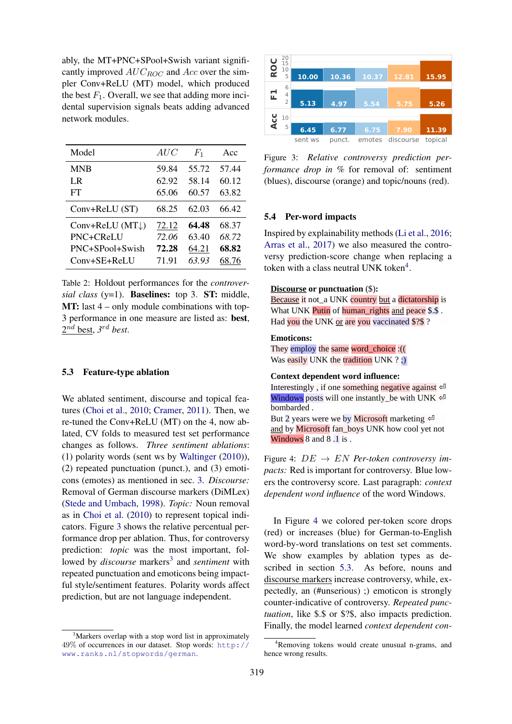ably, the MT+PNC+SPool+Swish variant significantly improved  $AUC_{ROC}$  and  $Acc$  over the simpler Conv+ReLU (MT) model, which produced the best  $F_1$ . Overall, we see that adding more incidental supervision signals beats adding advanced network modules.

<span id="page-3-1"></span>

| Model                      | AUC   | $F_1$ | Acc   |
|----------------------------|-------|-------|-------|
| <b>MNB</b>                 | 59.84 | 55.72 | 57.44 |
| LR                         | 62.92 | 58.14 | 60.12 |
| FT                         | 65.06 | 60.57 | 63.82 |
| Conv+ReLU (ST)             | 68.25 | 62.03 | 66.42 |
| Conv+ReLU $(MT\downarrow)$ | 72.12 | 64.48 | 68.37 |
| PNC+CReLU                  | 72.06 | 63.40 | 68.72 |
| PNC+SPool+Swish            | 72.28 | 64.21 | 68.82 |
| $Conv+SE+RelJ$             | 71.91 | 63.93 | 68.76 |

Table 2: Holdout performances for the *controversial class* (y=1). Baselines: top 3. ST: middle, MT: last 4 – only module combinations with top-3 performance in one measure are listed as: best, 2 nd best, *3* rd *best*.

#### <span id="page-3-0"></span>5.3 Feature-type ablation

We ablated sentiment, discourse and topical features [\(Choi et al.,](#page-5-8) [2010;](#page-5-8) [Cramer,](#page-5-2) [2011\)](#page-5-2). Then, we re-tuned the Conv+ReLU (MT) on the 4, now ablated, CV folds to measured test set performance changes as follows. *Three sentiment ablations*: (1) polarity words (sent ws by [Waltinger](#page-5-22) [\(2010\)](#page-5-22)), (2) repeated punctuation (punct.), and (3) emoticons (emotes) as mentioned in sec. [3.](#page-1-1) *Discourse:* Removal of German discourse markers (DiMLex) [\(Stede and Umbach,](#page-5-23) [1998\)](#page-5-23). *Topic:* Noun removal as in [Choi et al.](#page-5-8) [\(2010\)](#page-5-8) to represent topical indicators. Figure [3](#page-3-2) shows the relative percentual performance drop per ablation. Thus, for controversy prediction: *topic* was the most important, followed by *discourse* markers<sup>[3](#page-3-3)</sup> and *sentiment* with repeated punctuation and emoticons being impactful style/sentiment features. Polarity words affect prediction, but are not language independent.

<span id="page-3-2"></span>

Figure 3: *Relative controversy prediction performance drop in %* for removal of: sentiment (blues), discourse (orange) and topic/nouns (red).

#### 5.4 Per-word impacts

Inspired by explainability methods [\(Li et al.,](#page-5-24) [2016;](#page-5-24) [Arras et al.,](#page-5-25) [2017\)](#page-5-25) we also measured the controversy prediction-score change when replacing a token with a class neutral UNK token<sup>[4](#page-3-4)</sup>.

#### <span id="page-3-5"></span>**Discourse or punctuation** (\$)**:**

Because it not\_a UNK country but a dictatorship is What UNK Putin of human\_rights and peace \$.\$. Had you the UNK or are you vaccinated \$?\$ ?

#### **Emoticons:**

They employ the same word\_choice :(( Was easily UNK the tradition UNK ? ;)

#### **Context dependent word influence:**

Interestingly, if one something negative against  $\epsilon$ Windows posts will one instantly be with UNK  $\triangleleft$ bombarded .

But 2 years were we by **Microsoft** marketing  $\infty$ and by Microsoft fan boys UNK how cool yet not Windows 8 and 8.1 is.

Figure 4: DE → EN *Per-token controversy impacts:* Red is important for controversy. Blue lowers the controversy score. Last paragraph: *context dependent word influence* of the word Windows.

In Figure [4](#page-3-5) we colored per-token score drops (red) or increases (blue) for German-to-English word-by-word translations on test set comments. We show examples by ablation types as described in section [5.3.](#page-3-0) As before, nouns and discourse markers increase controversy, while, expectedly, an (#unserious) ;) emoticon is strongly counter-indicative of controversy. *Repeated punctuation*, like \$.\$ or \$?\$, also impacts prediction. Finally, the model learned *context dependent con-*

<span id="page-3-3"></span><sup>&</sup>lt;sup>3</sup>Markers overlap with a stop word list in approximately 49% of occurrences in our dataset. Stop words: [http://](http://www.ranks.nl/stopwords/german) [www.ranks.nl/stopwords/german](http://www.ranks.nl/stopwords/german).

<span id="page-3-4"></span><sup>4</sup>Removing tokens would create unusual n-grams, and hence wrong results.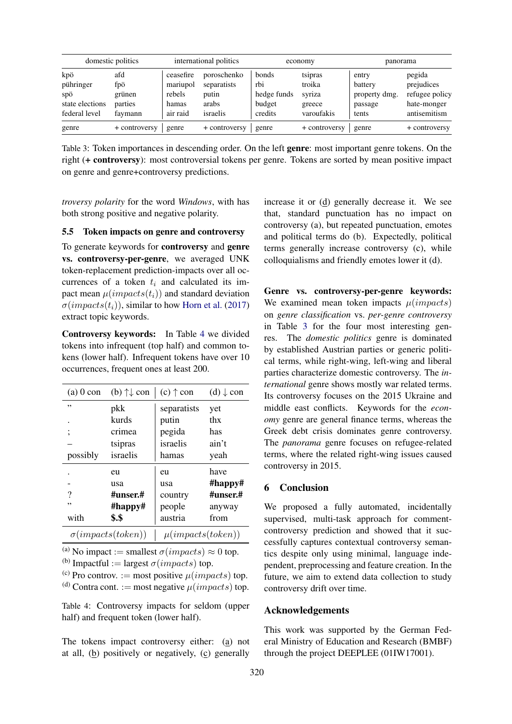<span id="page-4-1"></span>

|                                            | domestic politics               |                                          | international politics                       |                                              | economy                               | panorama                                     |                                                       |
|--------------------------------------------|---------------------------------|------------------------------------------|----------------------------------------------|----------------------------------------------|---------------------------------------|----------------------------------------------|-------------------------------------------------------|
| kpö<br>pühringer<br>spö<br>state elections | afd<br>fpö<br>grünen<br>parties | ceasefire<br>mariupol<br>rebels<br>hamas | poroschenko<br>separatists<br>putin<br>arabs | <b>bonds</b><br>rbi<br>hedge funds<br>budget | tsipras<br>troika<br>syriza<br>greece | entry<br>battery<br>property dmg.<br>passage | pegida<br>prejudices<br>refugee policy<br>hate-monger |
| federal level                              | faymann                         | air raid                                 | israelis                                     | credits                                      | varoufakis                            | tents                                        | antisemitism                                          |
| genre                                      | + controversy                   | genre                                    | + controversy                                | genre                                        | + controversy                         | genre                                        | + controversy                                         |

Table 3: Token importances in descending order. On the left genre: most important genre tokens. On the right (+ controversy): most controversial tokens per genre. Tokens are sorted by mean positive impact on genre and genre+controversy predictions.

*troversy polarity* for the word *Windows*, with has both strong positive and negative polarity.

## 5.5 Token impacts on genre and controversy

To generate keywords for controversy and genre vs. controversy-per-genre, we averaged UNK token-replacement prediction-impacts over all occurrences of a token  $t_i$  and calculated its impact mean  $\mu(impacts(t_i))$  and standard deviation  $\sigma(impacts(t_i))$ , similar to how [Horn et al.](#page-5-26) [\(2017\)](#page-5-26) extract topic keywords.

Controversy keywords: In Table [4](#page-4-0) we divided tokens into infrequent (top half) and common tokens (lower half). Infrequent tokens have over 10 occurrences, frequent ones at least 200.

<span id="page-4-0"></span>

| $(a)$ 0 con                | (b) $\uparrow\downarrow$ con | $(c)$ $\uparrow$ con  | $(d) \downarrow$ con |  |
|----------------------------|------------------------------|-----------------------|----------------------|--|
| ,,                         | pkk                          | separatists           | yet                  |  |
| ٠                          | kurds                        | putin                 | thx                  |  |
| ,                          | crimea                       | pegida                | has                  |  |
|                            | tsipras                      | israelis              | ain't                |  |
| possibly                   | israelis                     | hamas                 | yeah                 |  |
|                            | eu                           | eu                    | have                 |  |
|                            | usa                          | usa                   | $#$ happy#           |  |
| ?                          | #unser.#                     | country               | #unser.#             |  |
| ,,                         | $#$ happy#                   | people                | anyway               |  |
| with                       | \$.\$                        | austria               | from                 |  |
| $\sigma (impacts (token))$ |                              | $\mu(impacts(token))$ |                      |  |

<sup>(a)</sup> No impact := smallest  $\sigma(impacts) \approx 0$  top.

<sup>(b)</sup> Impactful := largest  $\sigma(impacts)$  top.

<sup>(c)</sup> Pro controv. := most positive  $\mu(impacks)$  top.

(d) Contra cont. := most negative  $\mu(impacks)$  top.

Table 4: Controversy impacts for seldom (upper half) and frequent token (lower half).

The tokens impact controversy either: (a) not at all, (b) positively or negatively, (c) generally

increase it or (d) generally decrease it. We see that, standard punctuation has no impact on controversy (a), but repeated punctuation, emotes and political terms do (b). Expectedly, political terms generally increase controversy (c), while colloquialisms and friendly emotes lower it (d).

Genre vs. controversy-per-genre keywords: We examined mean token impacts  $\mu(impacts)$ on *genre classification* vs. *per-genre controversy* in Table [3](#page-4-1) for the four most interesting genres. The *domestic politics* genre is dominated by established Austrian parties or generic political terms, while right-wing, left-wing and liberal parties characterize domestic controversy. The *international* genre shows mostly war related terms. Its controversy focuses on the 2015 Ukraine and middle east conflicts. Keywords for the *economy* genre are general finance terms, whereas the Greek debt crisis dominates genre controversy. The *panorama* genre focuses on refugee-related terms, where the related right-wing issues caused controversy in 2015.

# 6 Conclusion

We proposed a fully automated, incidentally supervised, multi-task approach for commentcontroversy prediction and showed that it successfully captures contextual controversy semantics despite only using minimal, language independent, preprocessing and feature creation. In the future, we aim to extend data collection to study controversy drift over time.

#### Acknowledgements

This work was supported by the German Federal Ministry of Education and Research (BMBF) through the project DEEPLEE (01IW17001).